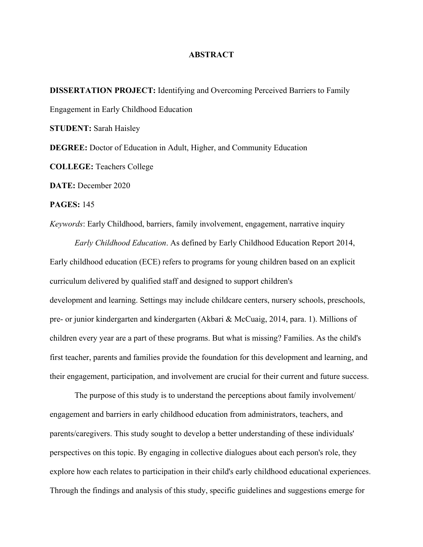## **ABSTRACT**

**DISSERTATION PROJECT:** Identifying and Overcoming Perceived Barriers to Family Engagement in Early Childhood Education **STUDENT:** Sarah Haisley **DEGREE:** Doctor of Education in Adult, Higher, and Community Education **COLLEGE:** Teachers College **DATE:** December 2020 **PAGES:** 145 *Keywords*: Early Childhood, barriers, family involvement, engagement, narrative inquiry

*Early Childhood Education*. As defined by Early Childhood Education Report 2014, Early childhood education (ECE) refers to programs for young children based on an explicit curriculum delivered by qualified staff and designed to support children's development and learning. Settings may include childcare centers, nursery schools, preschools, pre- or junior kindergarten and kindergarten (Akbari & McCuaig, 2014, para. 1). Millions of children every year are a part of these programs. But what is missing? Families. As the child's first teacher, parents and families provide the foundation for this development and learning, and their engagement, participation, and involvement are crucial for their current and future success.

The purpose of this study is to understand the perceptions about family involvement/ engagement and barriers in early childhood education from administrators, teachers, and parents/caregivers. This study sought to develop a better understanding of these individuals' perspectives on this topic. By engaging in collective dialogues about each person's role, they explore how each relates to participation in their child's early childhood educational experiences. Through the findings and analysis of this study, specific guidelines and suggestions emerge for